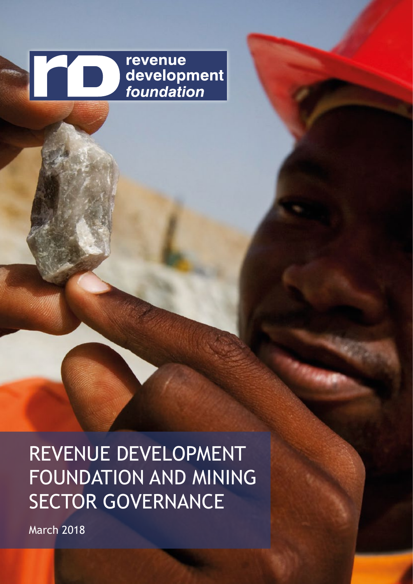

REVENUE DEVELOPMENT FOUNDATION AND MINING SECTOR GOVERNANCE

March 2018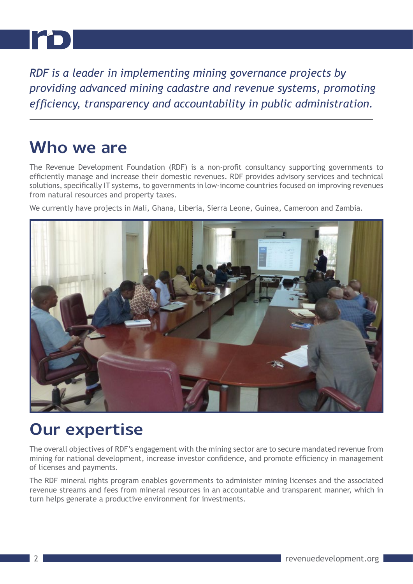

*RDF is a leader in implementing mining governance projects by providing advanced mining cadastre and revenue systems, promoting efficiency, transparency and accountability in public administration.*

### **Who we are**

The Revenue Development Foundation (RDF) is a non-profit consultancy supporting governments to efficiently manage and increase their domestic revenues. RDF provides advisory services and technical solutions, specifically IT systems, to governments in low-income countries focused on improving revenues from natural resources and property taxes.

We currently have projects in Mali, Ghana, Liberia, Sierra Leone, Guinea, Cameroon and Zambia.



# **Our expertise**

The overall objectives of RDF's engagement with the mining sector are to secure mandated revenue from mining for national development, increase investor confidence, and promote efficiency in management of licenses and payments.

The RDF mineral rights program enables governments to administer mining licenses and the associated revenue streams and fees from mineral resources in an accountable and transparent manner, which in turn helps generate a productive environment for investments.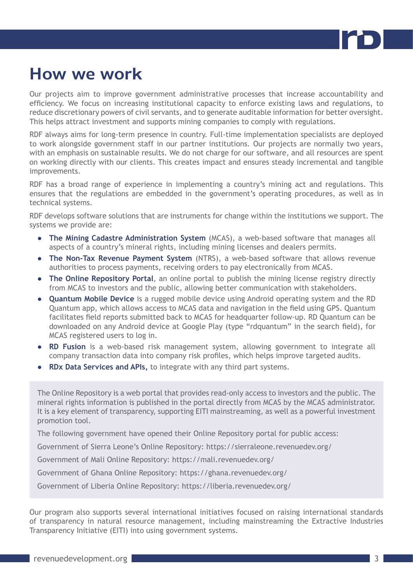

## **How we work**

Our projects aim to improve government administrative processes that increase accountability and efficiency. We focus on increasing institutional capacity to enforce existing laws and regulations, to reduce discretionary powers of civil servants, and to generate auditable information for better oversight. This helps attract investment and supports mining companies to comply with regulations.

RDF always aims for long-term presence in country. Full-time implementation specialists are deployed to work alongside government staff in our partner institutions. Our projects are normally two years, with an emphasis on sustainable results. We do not charge for our software, and all resources are spent on working directly with our clients. This creates impact and ensures steady incremental and tangible improvements.

RDF has a broad range of experience in implementing a country's mining act and regulations. This ensures that the regulations are embedded in the government's operating procedures, as well as in technical systems.

RDF develops software solutions that are instruments for change within the institutions we support. The systems we provide are:

- **The Mining Cadastre Administration System** (MCAS), a web-based software that manages all aspects of a country's mineral rights, including mining licenses and dealers permits.
- **The Non-Tax Revenue Payment System** (NTRS), a web-based software that allows revenue authorities to process payments, receiving orders to pay electronically from MCAS.
- **The Online Repository Portal**, an online portal to publish the mining license registry directly from MCAS to investors and the public, allowing better communication with stakeholders.
- **Quantum Mobile Device** is a rugged mobile device using Android operating system and the RD Quantum app, which allows access to MCAS data and navigation in the field using GPS. Quantum facilitates field reports submitted back to MCAS for headquarter follow-up. RD Quantum can be downloaded on any Android device at Google Play (type "rdquantum" in the search field), for MCAS registered users to log in.
- **RD Fusion** is a web-based risk management system, allowing government to integrate all company transaction data into company risk profiles, which helps improve targeted audits.
- **RDx Data Services and APIs,** to integrate with any third part systems.

The Online Repository is a web portal that provides read-only access to investors and the public. The mineral rights information is published in the portal directly from MCAS by the MCAS administrator. It is a key element of transparency, supporting EITI mainstreaming, as well as a powerful investment promotion tool.

The following government have opened their Online Repository portal for public access:

Government of Sierra Leone's Online Repository: https://sierraleone.revenuedev.org/

Government of Mali Online Repository: https://mali.revenuedev.org/

Government of Ghana Online Repository: https://ghana.revenuedev.org/

Government of Liberia Online Repository: https://liberia.revenuedev.org/

Our program also supports several international initiatives focused on raising international standards of transparency in natural resource management, including mainstreaming the Extractive Industries Transparency Initiative (EITI) into using government systems.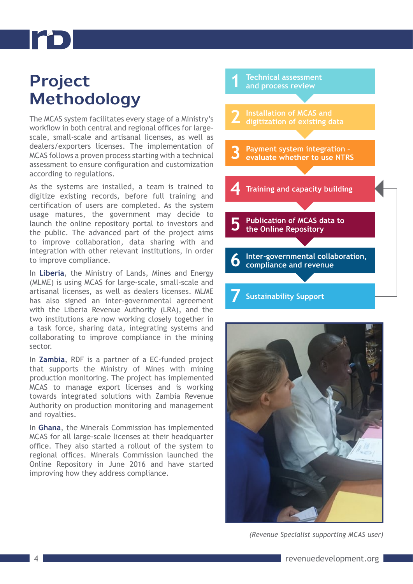# **Project Methodology**

The MCAS system facilitates every stage of a Ministry's workflow in both central and regional offices for largescale, small-scale and artisanal licenses, as well as dealers/exporters licenses. The implementation of MCAS follows a proven process starting with a technical assessment to ensure configuration and customization according to regulations.

As the systems are installed, a team is trained to digitize existing records, before full training and certification of users are completed. As the system usage matures, the government may decide to launch the online repository portal to investors and the public. The advanced part of the project aims to improve collaboration, data sharing with and integration with other relevant institutions, in order to improve compliance.

In **Liberia**, the Ministry of Lands, Mines and Energy (MLME) is using MCAS for large-scale, small-scale and artisanal licenses, as well as dealers licenses. MLME has also signed an inter-governmental agreement with the Liberia Revenue Authority (LRA), and the two institutions are now working closely together in a task force, sharing data, integrating systems and collaborating to improve compliance in the mining sector.

In **Zambia**, RDF is a partner of a EC-funded project that supports the Ministry of Mines with mining production monitoring. The project has implemented MCAS to manage export licenses and is working towards integrated solutions with Zambia Revenue Authority on production monitoring and management and royalties.

In **Ghana**, the Minerals Commission has implemented MCAS for all large-scale licenses at their headquarter office. They also started a rollout of the system to regional offices. Minerals Commission launched the Online Repository in June 2016 and have started improving how they address compliance.





*(Revenue Specialist supporting MCAS user)*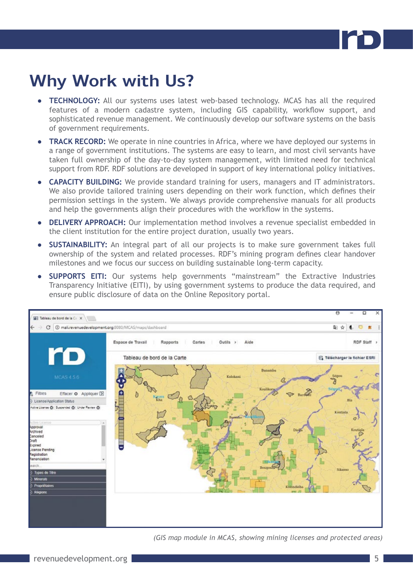

# **Why Work with Us?**

- **● TECHNOLOGY:** All our systems uses latest web-based technology. MCAS has all the required features of a modern cadastre system, including GIS capability, workflow support, and sophisticated revenue management. We continuously develop our software systems on the basis of government requirements.
- **TRACK RECORD:** We operate in nine countries in Africa, where we have deployed our systems in a range of government institutions. The systems are easy to learn, and most civil servants have taken full ownership of the day-to-day system management, with limited need for technical support from RDF. RDF solutions are developed in support of key international policy initiatives.
- **● CAPACITY BUILDING:** We provide standard training for users, managers and IT administrators. We also provide tailored training users depending on their work function, which defines their permission settings in the system. We always provide comprehensive manuals for all products and help the governments align their procedures with the workflow in the systems.
- **● DELIVERY APPROACH:** Our implementation method involves a revenue specialist embedded in the client institution for the entire project duration, usually two years.
- **● SUSTAINABILITY:** An integral part of all our projects is to make sure government takes full ownership of the system and related processes. RDF's mining program defines clear handover milestones and we focus our success on building sustainable long-term capacity.
- **SUPPORTS EITI:** Our systems help governments "mainstream" the Extractive Industries Transparency Initiative (EITI), by using government systems to produce the data required, and ensure public disclosure of data on the Online Repository portal.



*(GIS map module in MCAS, showing mining licenses and protected areas)*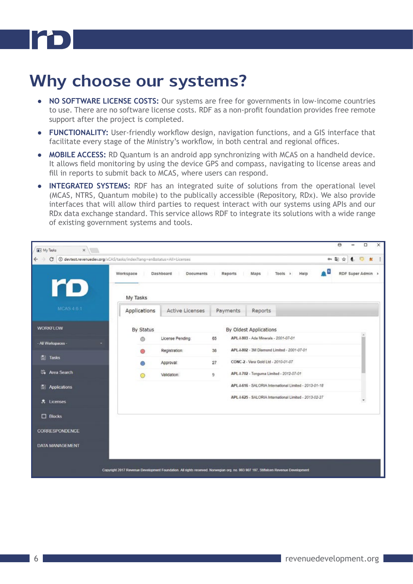

# **Why choose our systems?**

- **● NO SOFTWARE LICENSE COSTS:** Our systems are free for governments in low-income countries to use. There are no software license costs. RDF as a non-profit foundation provides free remote support after the project is completed.
- **● FUNCTIONALITY:** User-friendly workflow design, navigation functions, and a GIS interface that facilitate every stage of the Ministry's workflow, in both central and regional offices.
- **● MOBILE ACCESS:** RD Quantum is an android app synchronizing with MCAS on a handheld device. It allows field monitoring by using the device GPS and compass, navigating to license areas and fill in reports to submit back to MCAS, where users can respond.
- **INTEGRATED SYSTEMS:** RDF has an integrated suite of solutions from the operational level (MCAS, NTRS, Quantum mobile) to the publically accessible (Repository, RDx). We also provide interfaces that will allow third parties to request interact with our systems using APIs and our RDx data exchange standard. This service allows RDF to integrate its solutions with a wide range of existing government systems and tools.

| $\leftarrow$<br>C      | @ devtest.revenuedev.org/xCAS/tasks/index?lang=en8atatus=All+Licenses<br>$0 + 20$<br>- 0<br>RDF Super Admin ><br>Maps<br>Help<br>Workspace<br>Dashboard<br>Documents<br>Reports<br>Tools > |                  |          |                                                        |  |  | $\ddot{\phantom{1}}$ |
|------------------------|--------------------------------------------------------------------------------------------------------------------------------------------------------------------------------------------|------------------|----------|--------------------------------------------------------|--|--|----------------------|
| ro                     | My Tasks                                                                                                                                                                                   |                  |          |                                                        |  |  |                      |
| <b>MCAS461</b>         | Applications                                                                                                                                                                               | Active Licenses  | Payments | Reports                                                |  |  |                      |
| <b>WORKFLOW</b>        | By Status                                                                                                                                                                                  |                  |          | By Oldest Applications                                 |  |  |                      |
| - All Workspaces -     | ⋒                                                                                                                                                                                          | License Pending: | 65       | APL 1.803 - Ada Minerals - 2001-07-01                  |  |  |                      |
| 圖<br>Tasks             |                                                                                                                                                                                            | Registration:    | 38       | APL-I-802 - 3M Diamond Limited - 2001-07-01            |  |  |                      |
|                        |                                                                                                                                                                                            | Approval:        | 27       | CONC-2 - Vera Gold Ltd - 2010-01-07                    |  |  |                      |
| <b>De</b> Area Search  | O                                                                                                                                                                                          | Validation:      | 9        | APL 1.702 - Tonguma Limited - 2012-07-01               |  |  |                      |
| Applications           |                                                                                                                                                                                            |                  |          | APL-I-616 - SALORIA International Limited - 2013-01-18 |  |  |                      |
| <b>え</b> Licenses      |                                                                                                                                                                                            |                  |          | APL-I-625 - SALORIA International Limited - 2013-02-27 |  |  |                      |
| <b>Blocks</b>          |                                                                                                                                                                                            |                  |          |                                                        |  |  |                      |
| CORRESPONDENCE         |                                                                                                                                                                                            |                  |          |                                                        |  |  |                      |
| <b>DATA MANAGEMENT</b> |                                                                                                                                                                                            |                  |          |                                                        |  |  |                      |
|                        |                                                                                                                                                                                            |                  |          |                                                        |  |  |                      |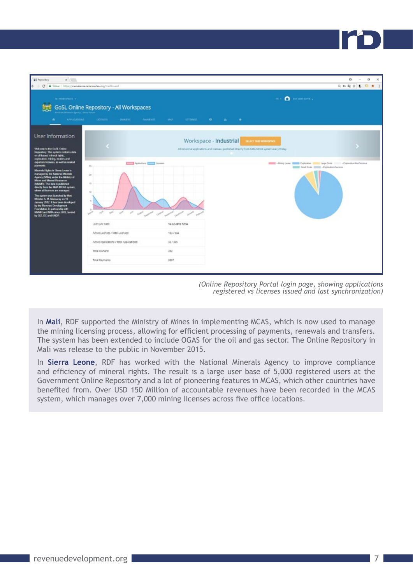

| $m \times \mathbf{O}$ increasing $\Box$<br><b>MINGBOROT +</b><br>GoSL Online Repository - All Workspaces<br>contract Mission's Apriley, Sentra Fires<br><b>APPENDATIONS</b><br><b>UCTIVSTS</b><br>OWNERS<br><b>FAVMENTS</b><br><b>LABARE</b><br>SETTINGS.<br>$\bullet$<br>die 1<br>$\sim$<br>User Information<br>Workspace - Industrial<br>SELECT THIS WORKSPACE<br>Weknow to the GrSL Coline<br>All inclusional applications and licenses, published directly from NMA MCAS system every Priday.<br>Repository This system contains data<br>on all knowd minoral rights.<br>equivation, mining, dealers and<br>exportion licences, as well as related<br>Applications   Licenses<br>Committee Committee Committee Committee Committee Committee Committee Committee Committee Committee Committee Committee Committee Committee Committee Committee Committee Committee Committee<br>paymonts.<br>25<br><b>BEEN Stati Scale 10000 - Fighterbird Records</b><br>Minersh Flights in Siema Leone is<br>managed by the National Minorsis<br>$24-$<br>Agency (NNA), under the Minkery of<br>Mines and Mineral Resources<br>(MMMT). The data is published<br>43.<br>deathy from the MMA MCAS system,<br>where all licenses are managed.<br>$\mathbf{u}$<br>The system was launched by Hon.<br>Minister A. M. Manuaray on 19<br>January 2012. It has been developed<br>by the Revenue Dovulopment<br>Foundation, in partnership with<br>MMMT and NWA since 2029, funded<br>$\mathcal{Q}^{\text{eff}}$<br>$\omega^{\alpha^{\beta}}$<br>by GZ, EC and UNDP.<br>16-02-2018 12:56<br>Last sync date:<br>1031504<br>Active Licenses / Total Licenses:<br>33/335<br>Active Applications / Stotal Applications:<br><b>Total Owners:</b><br>352 | <b>Hill Reporting</b><br>$x$ .<br>← → C B Skier https://senakona.nvenaedev.org/de/doual |  | ė.<br>$\sigma$<br>$\times$<br>日本副合 素 口 重 1 |
|-----------------------------------------------------------------------------------------------------------------------------------------------------------------------------------------------------------------------------------------------------------------------------------------------------------------------------------------------------------------------------------------------------------------------------------------------------------------------------------------------------------------------------------------------------------------------------------------------------------------------------------------------------------------------------------------------------------------------------------------------------------------------------------------------------------------------------------------------------------------------------------------------------------------------------------------------------------------------------------------------------------------------------------------------------------------------------------------------------------------------------------------------------------------------------------------------------------------------------------------------------------------------------------------------------------------------------------------------------------------------------------------------------------------------------------------------------------------------------------------------------------------------------------------------------------------------------------------------------------------------------------------------------------------------------------------------------------------------------------|-----------------------------------------------------------------------------------------|--|--------------------------------------------|
|                                                                                                                                                                                                                                                                                                                                                                                                                                                                                                                                                                                                                                                                                                                                                                                                                                                                                                                                                                                                                                                                                                                                                                                                                                                                                                                                                                                                                                                                                                                                                                                                                                                                                                                                   |                                                                                         |  |                                            |
|                                                                                                                                                                                                                                                                                                                                                                                                                                                                                                                                                                                                                                                                                                                                                                                                                                                                                                                                                                                                                                                                                                                                                                                                                                                                                                                                                                                                                                                                                                                                                                                                                                                                                                                                   |                                                                                         |  |                                            |
|                                                                                                                                                                                                                                                                                                                                                                                                                                                                                                                                                                                                                                                                                                                                                                                                                                                                                                                                                                                                                                                                                                                                                                                                                                                                                                                                                                                                                                                                                                                                                                                                                                                                                                                                   |                                                                                         |  |                                            |
|                                                                                                                                                                                                                                                                                                                                                                                                                                                                                                                                                                                                                                                                                                                                                                                                                                                                                                                                                                                                                                                                                                                                                                                                                                                                                                                                                                                                                                                                                                                                                                                                                                                                                                                                   |                                                                                         |  |                                            |
|                                                                                                                                                                                                                                                                                                                                                                                                                                                                                                                                                                                                                                                                                                                                                                                                                                                                                                                                                                                                                                                                                                                                                                                                                                                                                                                                                                                                                                                                                                                                                                                                                                                                                                                                   |                                                                                         |  |                                            |
| 3307<br><b>Total Payments</b>                                                                                                                                                                                                                                                                                                                                                                                                                                                                                                                                                                                                                                                                                                                                                                                                                                                                                                                                                                                                                                                                                                                                                                                                                                                                                                                                                                                                                                                                                                                                                                                                                                                                                                     |                                                                                         |  |                                            |

In **Mali**, RDF supported the Ministry of Mines in implementing MCAS, which is now used to manage the mining licensing process, allowing for efficient processing of payments, renewals and transfers. The system has been extended to include OGAS for the oil and gas sector. The Online Repository in Mali was release to the public in November 2015.

In **Sierra Leone**, RDF has worked with the National Minerals Agency to improve compliance and efficiency of mineral rights. The result is a large user base of 5,000 registered users at the Government Online Repository and a lot of pioneering features in MCAS, which other countries have benefited from. Over USD 150 Million of accountable revenues have been recorded in the MCAS system, which manages over 7,000 mining licenses across five office locations.

*<sup>(</sup>Online Repository Portal login page, showing applications registered vs licenses issued and last synchronization)*